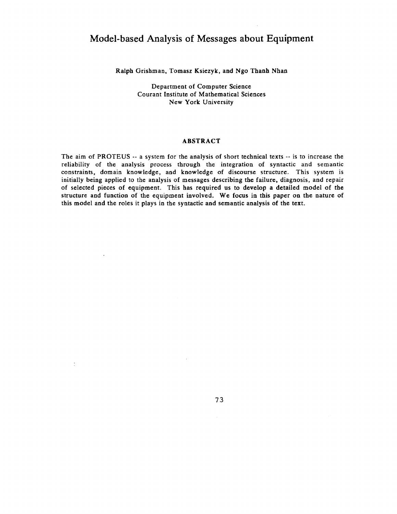# **Model-based Analysis of Messages about Equipment**

Ralph Grishman, Tomasz Ksiezyk, and Ngo Thanh Nhan

Department of Computer Science Courant Institute of Mathematical Sciences New York University

## ABSTRACT

The aim of PROTEUS -- a system for the analysis of short technical texts -- is to increase the reliability of the analysis process through the integration of syntactic and semantic constraints, domain knowledge, and knowledge of discourse structure. This system is initially being applied to the analysis of messages describing the failure, diagnosis, and repair of selected pieces of equipment. This has required us to develop a detailed model of the structure and function of the equipment involved. We focus in this paper on the nature of this model and the roles it plays in the syntactic and semantic analysis of the text.

 $\overline{\phantom{a}}$ 

 $\ddot{\ddot{z}}$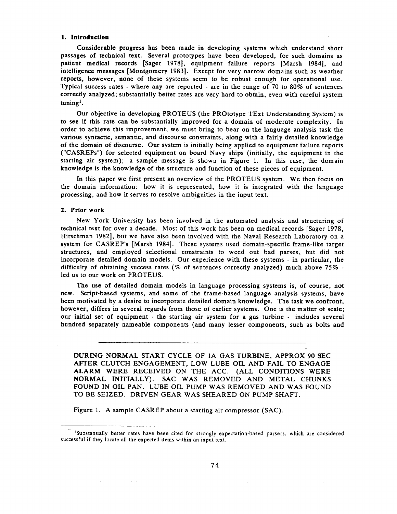## **I. Introduction**

Considerable progress has been made in developing systems which understand short passages of technical text. Several prototypes have been developed, for such domains as patient medical records [Sager 1978], equipment failure reports [Marsh 1984], and intelligence messages [Montgomery 1983]. Except for very narrow domains such as weather reports, however, none of these systems seem to be robust enough for operational use. Typical success rates - where any are reported - are in the range of 70 to 80% of sentences correctly analyzed; substantially better rates are very hard to obtain, even with careful system tuning'.

Our objective in developing PROTEUS (the PROtotype TExt Understanding System) is to see if this rate can be substantially improved for a domain of moderate complexity. In order to achieve this improvement, we must bring to bear on the language analysis task the various syntactic, semantic, and discourse constraints, along with a fairly detailed knowledge of the domain of discourse. Our system is initially being applied to equipment failure reports ("CASREPs") for selected equipment on board Navy ships (initially, the equipment in the starting air system); a sample message is shown in Figure 1. In this case, the domain knowledge is the knowledge of the structure and function of these pieces of equipment.

In this paper we first present an overview of the PROTEUS system. We then focus on the domain information: how it is represented, how it is integrated with the language processing, and how it serves to resolve ambiguities in the input text.

## **2. Prior work**

New York University has been involved in the automated analysis and structuring of technical text for over a decade. Most of this work has been on medical records [Sager 1978, Hirschman 1982], but we have also been involved with the Naval Research Laboratory on a system for CASREP's [Marsh 1984]. These systems used domain-specific frame-like target structures, and employed selectional constraints to weed out bad parses, but did not incorporate detailed domain models. Our experience with these systems - in particular, the difficulty of obtaining success rates (% of sentences correctly analyzed) much above 75% led us to our work on PROTEUS.

The use of detailed domain models in language processing systems is, of course, not new. Script-based systems, and some of the frame-based language analysis systems, have been motivated by a desire to incorporate detailed domain knowledge. The task we confront, however, differs in several regards from those of earlier systems. One is the matter of scale; our initial set of equipment - the starting air system for a gas turbine - includes several hundred separately nameable components (and many lesser components, such as bolts and

DURING NORMAL START CYCLE OF 1A GAS TURBINE, APPROX 90 SEC AFTER CLUTCH ENGAGEMENT, LOW LUBE OIL AND FAIL TO ENGAGE ALARM WERE RECEIVED ON THE ACC. (ALL CONDITIONS WERE NORMAL INITIALLY). SAC WAS REMOVED AND METAL CHUNKS FOUND IN OIL PAN. LUBE OIL PUMP WAS REMOVED AND WAS FOUND TO BE SEIZED. DRIVEN GEAR WAS SHEARED ON PUMP SHAFT.

Figure 1. A sample CASREP about a starting air compressor (SAC).

<sup>&</sup>lt;sup>2</sup> <sup>1</sup>Substantially better rates have been cited for strongly expectation-based parsers, which are considered successful if they locate all the expected items within an input text.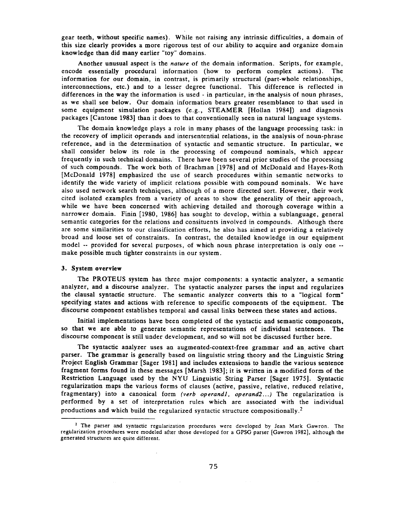gear teeth, without specific names). While not raising any intrinsic difficulties, a domain of this size clearly provides a more rigorous test of our ability to acquire and organize domain knowledge than did many earlier "toy" domains.

Another unusual aspect is the *nature* of the domain information. Scripts, for example, encode essentially procedural information (how to perform complex actions). The information for our domain, in contrast, is primarily structural (part-whole relationships, interconnections, etc.) and to a lesser degree functional. This difference is reflected in differences in the way the information is used - in particular, in-the analysis of noun phrases, as we shall see below. Our domain information bears greater resemblance to that used in some equipment simulation packages (e.g., STEAMER [Hollan 1984]) and diagnosis packages [Cantone 1983] than it does to that conventionally seen in natural language systems.

The domain knowledge plays a role in many phases of the language processing task: in the recovery of implicit operands and intersentential relations, in the analysis of noun-phrase reference, and in the determination of syntactic and semantic structure. In particular, we shall consider below its role in the processing of compound nominals, which appear frequently in such technical domains. There have been several prior studies of the processing of such compounds. The work both of Brachman [1978] and of McDonald and Hayes-Roth [McDonald 1978] emphasized the use of search procedures within semantic networks to identify the wide variety of implicit relations possible with compound nominals. We have also used network search techniques, although of a more directed sort. However, their work cited isolated examples from a variety of areas to show the generality of their approach, while we have been concerned with achieving detailed and thorough coverage within a narrower domain. Finin [1980, 1986] has sought to develop, within a sublanguage, general semantic categories for the relations and consituents involved in compounds. Although there are some similarities to our classification efforts, he also has aimed at providing a relatively broad and loose set of constraints. In contrast, the detailed knowledge in our equipment model -- provided for several purposes, of which noun phrase interpretation is only one - make possible much tighter constraints in our system.

## **3. System overview**

The PROTEUS system has three major components: a syntactic analyzer, a semantic analyzer, and a discourse analyzer. The syntactic analyzer parses the input and regularizes the clausal syntactic structure. The semantic analyzer converts this to a "logical form" specifying states and actions with reference to specific components of the equipment. The discourse component establishes temporal and causal links between these states and actions.

Initial implementations have been completed of the syntactic and semantic components, so that we are able to generate semantic representations of individual sentences. The discourse component is still under development, and so will not be discussed further here.

The syntactic analyzer uses an augmented-context-free grammar and an. active chart parser. The grammar is generally based on linguistic string theory and the Linguistic String Project English Grammar [Sager 1981] and includes extensions to handle the various sentence fragment forms found in these messages [Marsh 1983]; it is written in a modified form of the Restriction Language used by the NYU Linguistic String Parser [Sager 1975]. Syntactic regularization maps the various forms of clauses (active, passive, relative, reduced relative, fragmentary) into a canonical form *(verb operandi, operand2...)* The regularization is performed by a set of interpretation rules which are associated with the individual productions and which build the regularized syntactic structure compositionally.<sup>2</sup>

<sup>&</sup>lt;sup>2</sup> The parser and syntactic regularization procedures were developed by Jean Mark Gawron. The regtllarization procedures were modeled after those developed for a GPSG parser [Gawron 1982], although the generated structures are quite different.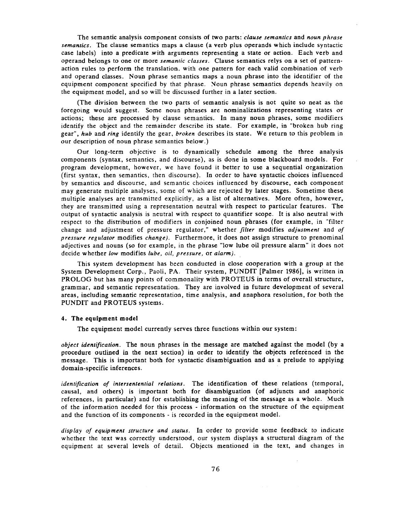The semantic analysis component consists of two parts: *clause semantics* and *noun phrase semantics.* The clause semantics maps a clause (a verb plus operands which include syntactic case labels) into a predicate with arguments representing a state or action. Each verb and operand belongs to one or more *semantic classes.* Clause semantics relys on a set of patternaction rules to perform the translation, with one pattern for each valid combination of verb and operand classes. Noun phrase semantics maps a noun phrase into the identifier of the equipment component specified by that phrase. Noun phrase semantics depends heavily on the equipment model, and so will be discussed further in a later section.

(The division between the two parts of semantic analysis is not quite so neat as the foregoing would suggest. Some noun phrases are nominalizations representing states or actions; these are processed by clause semantics. In many noun phrases, some modifiers identify the object and the remainder describe its state. For example, in "broken hub ring gear", *hub* and *ring* identify the gear, *broken* describes its state. We return to this problem in our description of noun phrase semantics below.)

Our long-term objective is to dynamically schedule among the three analysis components (syntax, semantics, and discourse), as is done in some blackboard models. For program development, however, we have found it better to use a sequential organization (first syntax, then semantics, then discourse). In order to have syntactic choices influenced by semantics and discourse, and semantic choices influenced by discourse, each component may generate multiple analyses, some of which are rejected by later stages. Sometime these multiple analyses are transmitted explicitly, as a list of alternatives. More often, however, they are transmitted using a representation neutral with respect to particular features. The output of syntactic analysis is neutral with respect to quantifier scope. It is also neutral with respect to the distribution of modifiers in conjoined noun phrases (for example, in "filter change and adjustment of pressure regulator," whether *filter* modifies *adjustment* and *of pressure regulator* modifies *change).* Furthermore, it does not assign structure to prenominal adjectives and nouns (so for example, in the phrase "low lube oil pressure alarm" it does not decide whether *low* modifies *lube, oil, pressure,* or *alarm).* 

This system development has been conducted in close Cooperation with a group at the System Development Corp., Paoli, PA. Their system, PUNDIT [Palmer 1986], is written in PROLOG but has many points of commonality with PROTEUS in terms of overall structure, grammar, and semantic representation. They are involved in future development of several areas, including semantic representation, time analysis, and anaphora resolution, for both the PUNDIT and PROTEUS systems.

#### **4. The equipment model**

The equipment model currently serves three functions within our system:

*object identification.* The noun phrases in the message are matched against the model (by a procedure outlined in the next section) in order to identify the objects referenced in the message. This is important both for syntactic disambiguation and as a prelude to applying domain-specific inferences.

*identification of intersentential relations.* The identification of these relations (temporal, causal, and others) is important both for disambiguation (of adjuncts and anaphoric references, in particular) and for establishing the meaning of the message as a whole. Much of the information needed for this process - information on the structure of the equipment and the function of its components - is recorded in the equipment model.

*display of equipment structure and status.* In order to provide some feedback to indicate whether the text was correctly understood, our system displays a structural diagram of the equipment at several levels of detail. Objects mentioned in the text, and changes in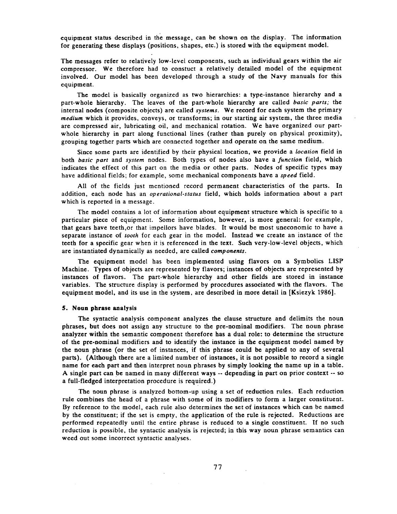equipment status described in the message, can be shown on the display. The information for generating these displays (positions, shapes, etc.) is stored with the equipment model.

The messages refer to relatively low-level components, such as individual gears within the air compressor. We therefore had to constuct a relatively detailed model of the equipment involved. Our model has been developed through a study of the Navy manuals for this equipment.

The model is basically organized as two hierarchies: a type-instance hierarchy and a part-whole hierarchy. The leaves of the part-whole hierarchy are called *basic parts;* the internal nodes (composite objects) are called *systems.* We record for each system the primary *medium* which it provides, conveys, or transforms; in our starting air system, the three media are compressed air, lubricating oil, and mechanical rotation. We have organized our partwhole hierarchy in part along functional lines (rather than purely on physical proximity), grouping together parts which are connected together and operate on the same medium.

Since some parts are identified by their physical location, we provide a *location* field in both *basic part* and *system* nodes. Both types of nodes also have a *function* field, which indicates the effect of this part on the media or other parts. Nodes of specific types may have additional fields; for example, some mechanical components have a *speed* field.

All of the fields just mentioned record permanent characteristics of the parts. In addition, each node has an *operational-status* field, which holds information about a part which is reported in a message.

The model contains a lot of information about equipment structure which is specific to a particular piece of equipment. Some information, however, is more general: for example, that gears have teeth,or that impellors have blades. It would be most uneconomic to have a separate instance of *tooth* for each gear in the model. Instead we create an instance of the teeth for a specific gear when it is referenced in the text. Such very-low-level objects, which are instantiated dynamically as needed, are called *components.* 

The equipment model has been implemented using flavors on a Symbolics LISP Machine. Types of objects are represented by flavors; instances of objects are represented by instances of flavors. The part-whole hierarchy and other fields are stored in instance variables. The structure display is performed by procedures associated with the flavors. The equipment model, and its use in the system, are described in more detail in [Ksiezyk 1986].

### **5. Noun phrase analysis**

The syntactic analysis component analyzes the clause structure and delimits the noun phrases, but does not assign any structure to the pre-nominal modifiers. The noun phrase analyzer within the semantic component therefore has a dual role: to determine the structure of the pre-nominal modifiers and to identify the instance in the equipment model named by the noun phrase (or the set of instances, if this phrase could be applied to any of several parts). (Although there are a limited number of instances, it is not possible to record a single name for each part and then interpret noun phrases by simply looking the name up in a table. A single part can be named in many different ways -- depending in part on prior context -- so a full-fledged interpretation procedure is required. )

The noun phrase is analyzed bottom-up using a set of reduction rules. Each reduction rule combines the head of a phrase with some of its modifiers to form a larger constituent. By reference to the model, each rule also determines the set of instances which can be named by the constituent; if the set is empty, the application of the rule is rejected. Reductions are performed repeatedly until the entire phrase is reduced to a single constituent. If no such reduction is possible, the syntactic analysis is rejected; in this way noun phrase semantics can weed out some incorrect syntactic analyses.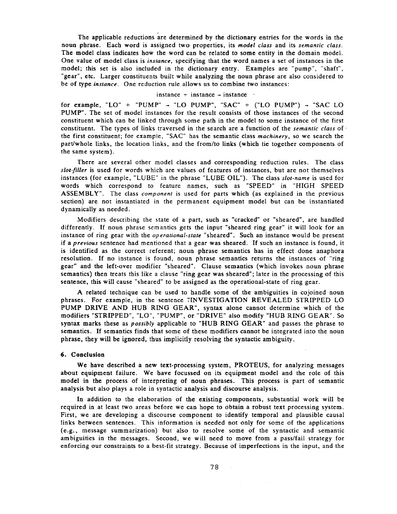The applicable reductions are determined by the dictionary entries for the words in the noun phrase. Each word is assigned two properties, its *model class* and its *semantic class.*  The model class indicates how the word can be related to some entity in the domain model. One value of model class is *instance,* specifying that the word names a set of instances in the model; this set is also included in the dictionary entry. Examples are "pump", "shaft", "gear", etc. Larger constituents built while analyzing the noun phrase are also considered to be of type *instance.* One reduction rule allows us to combine two instances:

## instance  $+$  instance  $-$  instance

for example, "LO" + "PUMP"  $\rightarrow$  "LO PUMP", "SAC" + ("LO PUMP")  $\rightarrow$  "SAC LO PUMP". The set of model instances for the result consists of those instances of the second constituent which can be linked through some path in the model to some instance of the first constituent. The types of links traversed in the search are a function of the *semantic class* ofthe first constituent; for example, "SAC" has the semantic class *machinery,* so we search the part/whole links, the location links, and the from/to links (which tie together components of the same system).

There are several other model classes and corresponding reduction rules. The class *slot-filler* is used for words which are values of features of instances, but are not themselves instances (for example, "LUBE" in the phrase "LUBE OIL"). The class *slot-name* is used for words which correspond to feature names, such as "SPEED" in "HIGH SPEED ASSEMBLY". The class *component* is used for parts which (as explained in the previous section) are not instantiated in the permanent equipment model but can be instantiated dynamically as needed.

Modifiers describing the state of a part, such as "cracked" or "sheared", are handled differently. If noun phrase semantics gets the input "sheared ring gear" it will look for an instance of ring gear with the *operational-state* "sheared". Such an instance would be present if a *previous* sentence had mentioned that a gear was sheared. If such an instance is found, it is identified as the correct referent; noun phrase semantics has in effect done anaphora resolution. If no instance is found, noun phrase semantics returns the instances of "ring gear" and the left-over modifier "sheared". Clause semantics (which invokes noun phrase semantics) then treats this like a clause "ring gear was sheared"; later in the processing of this sentence, this will cause "sheared" to be assigned as the operational-state of ring gear.

A related technique can be used to handle some of the ambiguities in cojoined noun phrases. For example, in the sentence "INVESTIGATION REVEALED STRIPPED LO PUMP DRIVE AND HUB RING GEAR", syntax alone cannot determine which of the modifiers "STRIPPED", "LO", "PUMP", or "DRIVE" also modify "HUB RING GEAR". So syntax marks these as *possibly* applicable to "HUB RING GEAR" and passes the phrase to semantics. If semantics finds that some of these modifiers cannot be integrated into the noun phrase, they will be ignored, thus implicitly resolving the syntactic ambiguity.

#### **6. Conclusion**

We have described a new text-processing system, PROTEUS, for analyzing messages about equipment failure. We have focussed on its equipment model and the role of this model in the process of interpreting of noun phrases. This process is part of semantic analysis but also plays a role in syntactic analysis and discourse analysis.

In addition to the elaboration of the existing components, substantial work will be required in at least two areas before we can hope to obtain a robust text processing system. First, we are developing a discourse component to identify temporal and plausible causal links between sentences. This information is needed not only for some of the applications (e~g., message summarization) but also to resolve some of the syntactic and semantic ambiguities in the messages. Second, we will need to move from a pass/fail strategy for enforcing our constraints to a best-fit strategy. Because of imperfections in the input, and the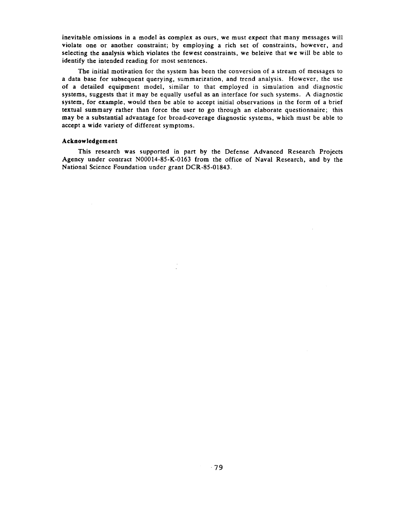inevitable omissions in a model as complex as ours, we must expect that many messages will violate one or another constraint; by employing a rich set of constraints, however, and selecting the analysis which violates the fewest constraints, we beleive that we will be able to identify the intended reading for most sentences.

The initial motivation for the system has been the conversion of a stream of messages to a data base for subsequent querying, summarization, and trend analysis. However, the use of a detailed equipment model, similar to that employed in simulation and diagnostic systems, suggests that it may be equally useful as an interface for such systems. A diagnostic system, for example, would then be able to accept initial observations in the form of a brief textual summary rather than force the user to go through an elaborate questionnaire; this may be a substantial advantage for broad-coverage diagnostic systems, which must be able to accept a wide variety of different symptoms.

## **Acknowledgement**

This research was supported in part by the Defense Advanced Research Projects Agency under contract N00014-85-K-0163 from the office of Naval Research, and by the National Science Foundation under grant DCR-85-01843.